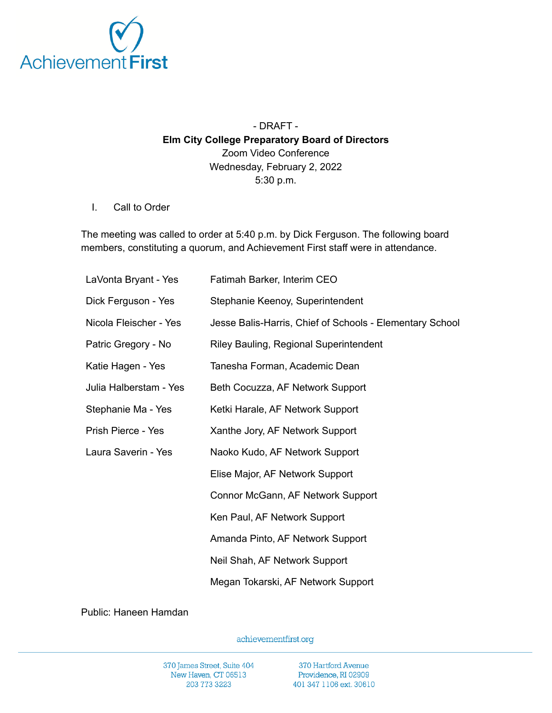

- DRAFT - **Elm City College Preparatory Board of Directors** Zoom Video Conference Wednesday, February 2, 2022 5:30 p.m.

## I. Call to Order

The meeting was called to order at 5:40 p.m. by Dick Ferguson. The following board members, constituting a quorum, and Achievement First staff were in attendance.

| LaVonta Bryant - Yes   | Fatimah Barker, Interim CEO                              |
|------------------------|----------------------------------------------------------|
| Dick Ferguson - Yes    | Stephanie Keenoy, Superintendent                         |
| Nicola Fleischer - Yes | Jesse Balis-Harris, Chief of Schools - Elementary School |
| Patric Gregory - No    | Riley Bauling, Regional Superintendent                   |
| Katie Hagen - Yes      | Tanesha Forman, Academic Dean                            |
| Julia Halberstam - Yes | Beth Cocuzza, AF Network Support                         |
| Stephanie Ma - Yes     | Ketki Harale, AF Network Support                         |
| Prish Pierce - Yes     | Xanthe Jory, AF Network Support                          |
| Laura Saverin - Yes    | Naoko Kudo, AF Network Support                           |
|                        | Elise Major, AF Network Support                          |
|                        | Connor McGann, AF Network Support                        |
|                        | Ken Paul, AF Network Support                             |
|                        | Amanda Pinto, AF Network Support                         |
|                        | Neil Shah, AF Network Support                            |
|                        | Megan Tokarski, AF Network Support                       |

Public: Haneen Hamdan

achievementfirst.org

370 James Street, Suite 404 New Haven, CT 06513 203 773 3223

370 Hartford Avenue Providence, RI 02909 401 347 1106 ext. 30610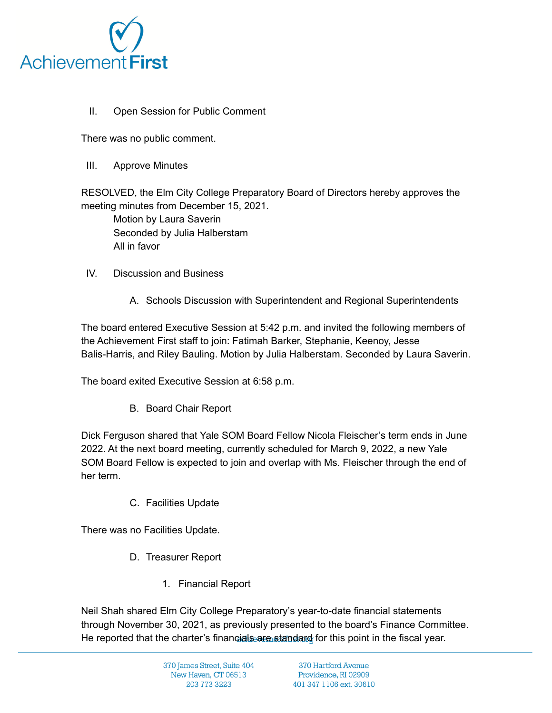

II. Open Session for Public Comment

There was no public comment.

III. Approve Minutes

RESOLVED, the Elm City College Preparatory Board of Directors hereby approves the meeting minutes from December 15, 2021.

Motion by Laura Saverin Seconded by Julia Halberstam All in favor

- IV. Discussion and Business
	- A. Schools Discussion with Superintendent and Regional Superintendents

The board entered Executive Session at 5:42 p.m. and invited the following members of the Achievement First staff to join: Fatimah Barker, Stephanie, Keenoy, Jesse Balis-Harris, and Riley Bauling. Motion by Julia Halberstam. Seconded by Laura Saverin.

The board exited Executive Session at 6:58 p.m.

B. Board Chair Report

Dick Ferguson shared that Yale SOM Board Fellow Nicola Fleischer's term ends in June 2022. At the next board meeting, currently scheduled for March 9, 2022, a new Yale SOM Board Fellow is expected to join and overlap with Ms. Fleischer through the end of her term.

C. Facilities Update

There was no Facilities Update.

- D. Treasurer Report
	- 1. Financial Report

Neil Shah shared Elm City College Preparatory's year-to-date financial statements through November 30, 2021, as previously presented to the board's Finance Committee. He reported that the charter's financials are standard for this point in the fiscal year.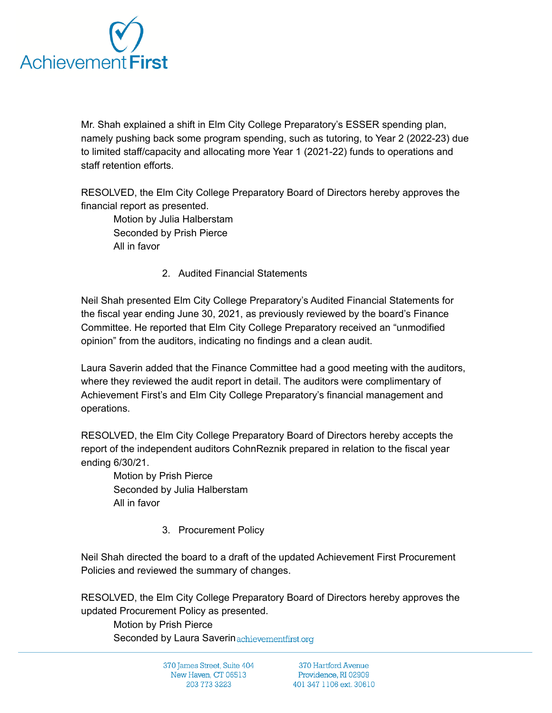

Mr. Shah explained a shift in Elm City College Preparatory's ESSER spending plan, namely pushing back some program spending, such as tutoring, to Year 2 (2022-23) due to limited staff/capacity and allocating more Year 1 (2021-22) funds to operations and staff retention efforts.

RESOLVED, the Elm City College Preparatory Board of Directors hereby approves the financial report as presented.

Motion by Julia Halberstam Seconded by Prish Pierce All in favor

2. Audited Financial Statements

Neil Shah presented Elm City College Preparatory's Audited Financial Statements for the fiscal year ending June 30, 2021, as previously reviewed by the board's Finance Committee. He reported that Elm City College Preparatory received an "unmodified opinion" from the auditors, indicating no findings and a clean audit.

Laura Saverin added that the Finance Committee had a good meeting with the auditors, where they reviewed the audit report in detail. The auditors were complimentary of Achievement First's and Elm City College Preparatory's financial management and operations.

RESOLVED, the Elm City College Preparatory Board of Directors hereby accepts the report of the independent auditors CohnReznik prepared in relation to the fiscal year ending 6/30/21.

Motion by Prish Pierce Seconded by Julia Halberstam All in favor

3. Procurement Policy

Neil Shah directed the board to a draft of the updated Achievement First Procurement Policies and reviewed the summary of changes.

RESOLVED, the Elm City College Preparatory Board of Directors hereby approves the updated Procurement Policy as presented.

Motion by Prish Pierce Seconded by Laura Saverinachievementfirst.org

> 370 James Street, Suite 404 New Haven, CT 06513 203 773 3223

370 Hartford Avenue Providence, RI 02909 401 347 1106 ext. 30610